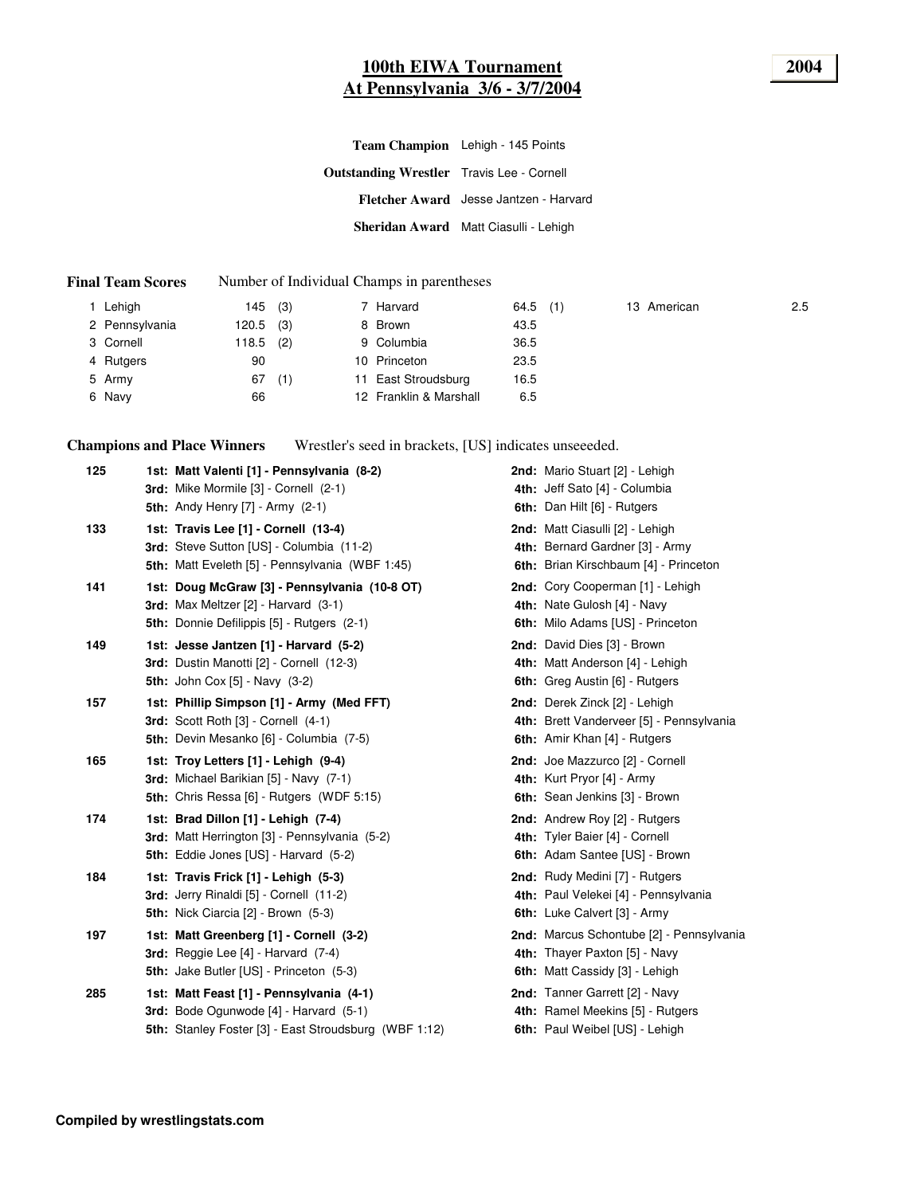# **100th EIWA Tournament 2004 At Pennsylvania 3/6 - 3/7/2004**

|                                                  | Team Champion Lehigh - 145 Points      |
|--------------------------------------------------|----------------------------------------|
| <b>Outstanding Wrestler</b> Travis Lee - Cornell |                                        |
|                                                  | Fletcher Award Jesse Jantzen - Harvard |
|                                                  | Sheridan Award Matt Ciasulli - Lehigh  |

#### **Final Team Scores** Number of Individual Champs in parentheses

| Lehigh         | 145   | (3) | 7 Harvard              | $64.5$ (1) |  | 13 American | 2.5 |
|----------------|-------|-----|------------------------|------------|--|-------------|-----|
| 2 Pennsylvania | 120.5 | (3) | 8 Brown                | 43.5       |  |             |     |
| 3 Cornell      | 118.5 | (2) | 9 Columbia             | 36.5       |  |             |     |
| 4 Rutgers      | 90    |     | 10 Princeton           | 23.5       |  |             |     |
| 5 Army         | 67    | (1) | 11 East Stroudsburg    | 16.5       |  |             |     |
| 6 Navy         | 66    |     | 12 Franklin & Marshall | 6.5        |  |             |     |

**Champions and Place Winners** Wrestler's seed in brackets, [US] indicates unseeeded.

| 125 | 1st: Matt Valenti [1] - Pennsylvania (8-2)<br>3rd: Mike Mormile [3] - Cornell (2-1)                                                         | 2nd: Mario Stuart [2] - Lehigh<br>4th: Jeff Sato [4] - Columbia                                                    |
|-----|---------------------------------------------------------------------------------------------------------------------------------------------|--------------------------------------------------------------------------------------------------------------------|
|     | <b>5th: Andy Henry [7] - Army (2-1)</b>                                                                                                     | 6th: Dan Hilt [6] - Rutgers                                                                                        |
| 133 | 1st: Travis Lee [1] - Cornell (13-4)<br>3rd: Steve Sutton [US] - Columbia (11-2)<br><b>5th:</b> Matt Eveleth [5] - Pennsylvania (WBF 1:45)  | 2nd: Matt Ciasulli [2] - Lehigh<br>4th: Bernard Gardner [3] - Army<br><b>6th:</b> Brian Kirschbaum [4] - Princeton |
| 141 | 1st: Doug McGraw [3] - Pennsylvania (10-8 OT)<br>3rd: Max Meltzer [2] - Harvard (3-1)<br>5th: Donnie Defilippis [5] - Rutgers (2-1)         | 2nd: Cory Cooperman [1] - Lehigh<br>4th: Nate Gulosh [4] - Navy<br>6th: Milo Adams [US] - Princeton                |
| 149 | 1st: Jesse Jantzen [1] - Harvard (5-2)<br>3rd: Dustin Manotti [2] - Cornell (12-3)<br><b>5th:</b> John Cox $[5]$ - Navy $(3-2)$             | 2nd: David Dies [3] - Brown<br>4th: Matt Anderson [4] - Lehigh<br><b>6th:</b> Greg Austin [6] - Rutgers            |
| 157 | 1st: Phillip Simpson [1] - Army (Med FFT)<br>3rd: Scott Roth [3] - Cornell (4-1)<br>5th: Devin Mesanko [6] - Columbia (7-5)                 | 2nd: Derek Zinck [2] - Lehigh<br>4th: Brett Vanderveer [5] - Pennsylvania<br>6th: Amir Khan [4] - Rutgers          |
| 165 | 1st: Troy Letters [1] - Lehigh (9-4)<br>3rd: Michael Barikian [5] - Navy (7-1)<br><b>5th:</b> Chris Ressa [6] - Rutgers (WDF 5:15)          | 2nd: Joe Mazzurco [2] - Cornell<br>4th: Kurt Pryor [4] - Army<br>6th: Sean Jenkins [3] - Brown                     |
| 174 | 1st: Brad Dillon [1] - Lehigh (7-4)<br>3rd: Matt Herrington [3] - Pennsylvania (5-2)<br><b>5th:</b> Eddie Jones [US] - Harvard (5-2)        | 2nd: Andrew Roy [2] - Rutgers<br>4th: Tyler Baier [4] - Cornell<br>6th: Adam Santee [US] - Brown                   |
| 184 | 1st: Travis Frick [1] - Lehigh (5-3)<br>3rd: Jerry Rinaldi [5] - Cornell (11-2)<br>5th: Nick Ciarcia [2] - Brown (5-3)                      | <b>2nd:</b> Rudy Medini [7] - Rutgers<br>4th: Paul Velekei [4] - Pennsylvania<br>6th: Luke Calvert [3] - Army      |
| 197 | 1st: Matt Greenberg [1] - Cornell (3-2)<br>3rd: Reggie Lee [4] - Harvard (7-4)<br><b>5th:</b> Jake Butler [US] - Princeton (5-3)            | 2nd: Marcus Schontube [2] - Pennsylvania<br>4th: Thayer Paxton [5] - Navy<br>6th: Matt Cassidy [3] - Lehigh        |
| 285 | 1st: Matt Feast [1] - Pennsylvania (4-1)<br>3rd: Bode Ogunwode [4] - Harvard (5-1)<br>5th: Stanley Foster [3] - East Stroudsburg (WBF 1:12) | 2nd: Tanner Garrett [2] - Navy<br>4th: Ramel Meekins [5] - Rutgers<br>6th: Paul Weibel [US] - Lehigh               |
|     |                                                                                                                                             |                                                                                                                    |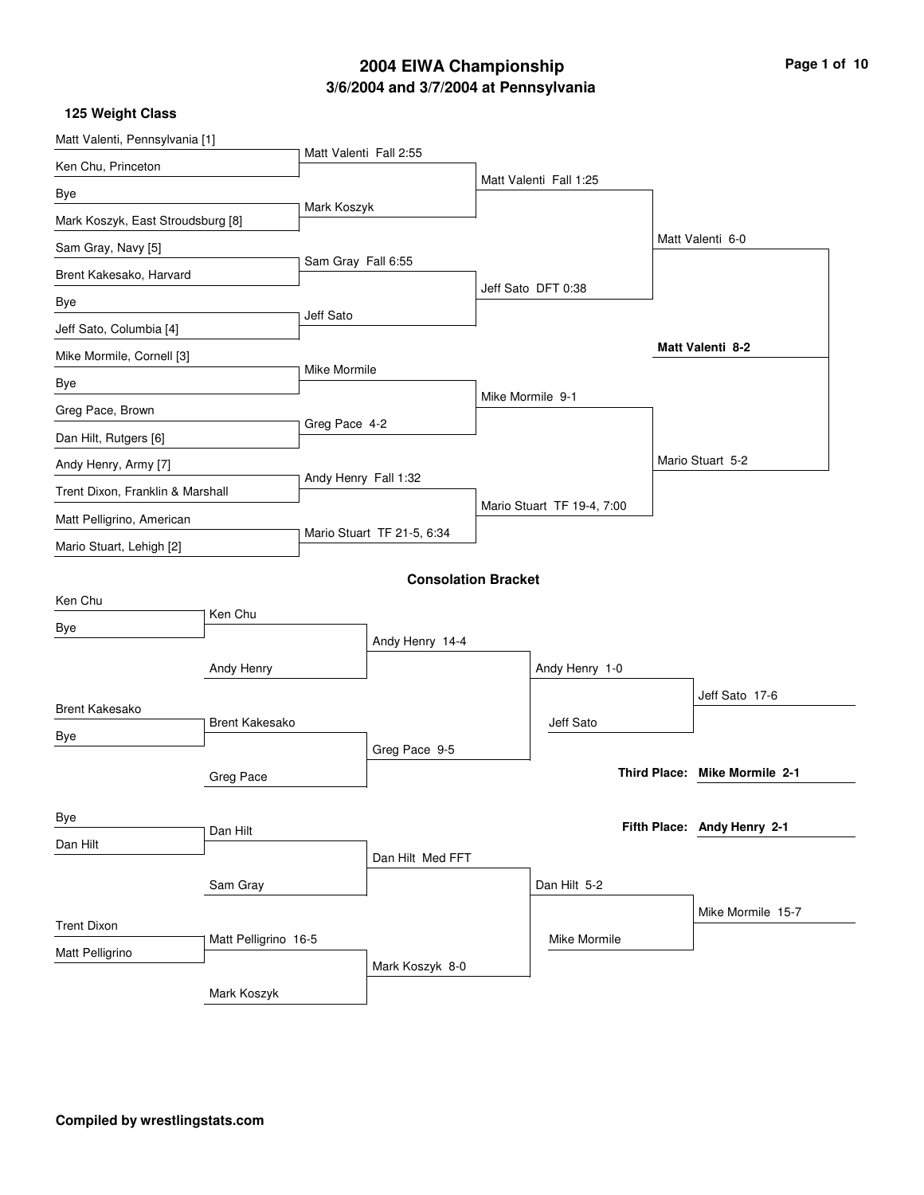## **3/6/2004 and 3/7/2004 at Pennsylvania 2004 EIWA Championship Page 1 of 10**

| Matt Valenti, Pennsylvania [1]    |                       |                        |                            |                            |                               |
|-----------------------------------|-----------------------|------------------------|----------------------------|----------------------------|-------------------------------|
| Ken Chu, Princeton                |                       | Matt Valenti Fall 2:55 |                            |                            |                               |
| Bye                               |                       |                        |                            | Matt Valenti Fall 1:25     |                               |
| Mark Koszyk, East Stroudsburg [8] |                       | Mark Koszyk            |                            |                            |                               |
| Sam Gray, Navy [5]                |                       |                        |                            |                            | Matt Valenti 6-0              |
| Brent Kakesako, Harvard           |                       | Sam Gray Fall 6:55     |                            |                            |                               |
| Bye                               |                       |                        |                            | Jeff Sato DFT 0:38         |                               |
| Jeff Sato, Columbia [4]           |                       | Jeff Sato              |                            |                            |                               |
| Mike Mormile, Cornell [3]         |                       |                        |                            |                            | Matt Valenti 8-2              |
| Bye                               |                       | Mike Mormile           |                            |                            |                               |
| Greg Pace, Brown                  |                       |                        |                            | Mike Mormile 9-1           |                               |
| Dan Hilt, Rutgers [6]             |                       | Greg Pace 4-2          |                            |                            |                               |
| Andy Henry, Army [7]              |                       |                        |                            |                            | Mario Stuart 5-2              |
| Trent Dixon, Franklin & Marshall  |                       | Andy Henry Fall 1:32   |                            |                            |                               |
| Matt Pelligrino, American         |                       |                        |                            | Mario Stuart TF 19-4, 7:00 |                               |
| Mario Stuart, Lehigh [2]          |                       |                        | Mario Stuart TF 21-5, 6:34 |                            |                               |
|                                   |                       |                        | <b>Consolation Bracket</b> |                            |                               |
| Ken Chu                           |                       |                        |                            |                            |                               |
| Bye                               | Ken Chu               |                        |                            |                            |                               |
|                                   |                       |                        | Andy Henry 14-4            |                            |                               |
|                                   | Andy Henry            |                        |                            | Andy Henry 1-0             |                               |
| <b>Brent Kakesako</b>             |                       |                        |                            |                            | Jeff Sato 17-6                |
| Bye                               | <b>Brent Kakesako</b> |                        |                            | Jeff Sato                  |                               |
|                                   |                       |                        | Greg Pace 9-5              |                            | Third Place: Mike Mormile 2-1 |
|                                   | Greg Pace             |                        |                            |                            |                               |
| Bye                               |                       |                        |                            |                            | Fifth Place: Andy Henry 2-1   |
| Dan Hilt                          | Dan Hilt              |                        |                            |                            |                               |
|                                   |                       |                        | Dan Hilt Med FFT           |                            |                               |
|                                   | Sam Gray              |                        |                            | Dan Hilt 5-2               |                               |
| <b>Trent Dixon</b>                |                       |                        |                            |                            | Mike Mormile 15-7             |
| Matt Pelligrino                   | Matt Pelligrino 16-5  |                        |                            | Mike Mormile               |                               |
|                                   |                       |                        | Mark Koszyk 8-0            |                            |                               |
|                                   | Mark Koszyk           |                        |                            |                            |                               |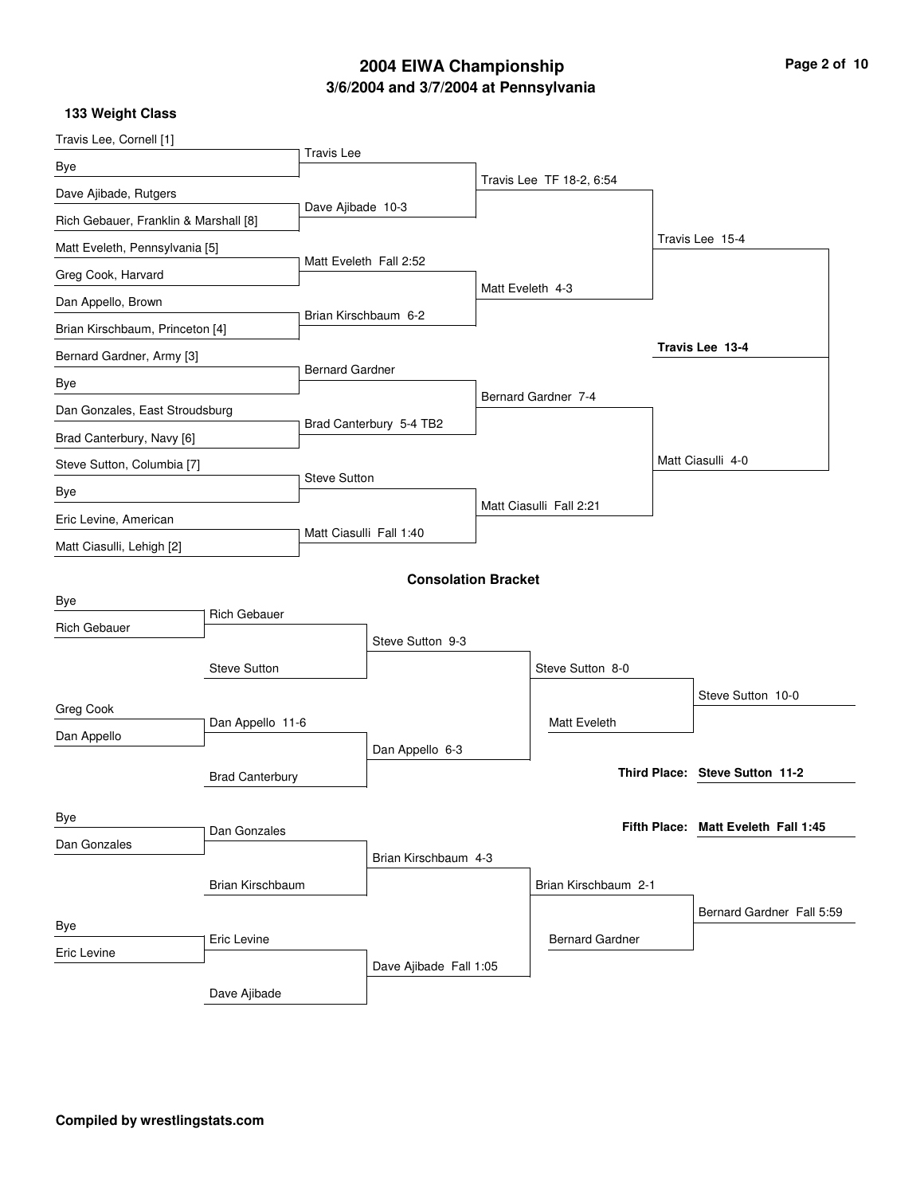## **3/6/2004 and 3/7/2004 at Pennsylvania 2004 EIWA Championship Page 2 of 10**

| Travis Lee, Cornell [1]               |                        |                         |                            |                  |                          |                                     |
|---------------------------------------|------------------------|-------------------------|----------------------------|------------------|--------------------------|-------------------------------------|
| Bye                                   |                        | <b>Travis Lee</b>       |                            |                  |                          |                                     |
| Dave Ajibade, Rutgers                 |                        |                         |                            |                  | Travis Lee TF 18-2, 6:54 |                                     |
| Rich Gebauer, Franklin & Marshall [8] |                        | Dave Ajibade 10-3       |                            |                  |                          |                                     |
| Matt Eveleth, Pennsylvania [5]        |                        |                         |                            |                  |                          | Travis Lee 15-4                     |
| Greg Cook, Harvard                    |                        | Matt Eveleth Fall 2:52  |                            | Matt Eveleth 4-3 |                          |                                     |
| Dan Appello, Brown                    |                        | Brian Kirschbaum 6-2    |                            |                  |                          |                                     |
| Brian Kirschbaum, Princeton [4]       |                        |                         |                            |                  |                          |                                     |
| Bernard Gardner, Army [3]             |                        | <b>Bernard Gardner</b>  |                            |                  |                          | Travis Lee 13-4                     |
| Bye                                   |                        |                         |                            |                  | Bernard Gardner 7-4      |                                     |
| Dan Gonzales, East Stroudsburg        |                        |                         | Brad Canterbury 5-4 TB2    |                  |                          |                                     |
| Brad Canterbury, Navy [6]             |                        |                         |                            |                  |                          |                                     |
| Steve Sutton, Columbia [7]            |                        | <b>Steve Sutton</b>     |                            |                  |                          | Matt Ciasulli 4-0                   |
| Bye                                   |                        |                         |                            |                  | Matt Ciasulli Fall 2:21  |                                     |
| Eric Levine, American                 |                        | Matt Ciasulli Fall 1:40 |                            |                  |                          |                                     |
| Matt Ciasulli, Lehigh [2]             |                        |                         |                            |                  |                          |                                     |
|                                       |                        |                         | <b>Consolation Bracket</b> |                  |                          |                                     |
| Bye                                   | <b>Rich Gebauer</b>    |                         |                            |                  |                          |                                     |
| <b>Rich Gebauer</b>                   |                        |                         | Steve Sutton 9-3           |                  |                          |                                     |
|                                       | <b>Steve Sutton</b>    |                         |                            |                  | Steve Sutton 8-0         |                                     |
|                                       |                        |                         |                            |                  |                          | Steve Sutton 10-0                   |
| Greg Cook                             | Dan Appello 11-6       |                         |                            |                  | Matt Eveleth             |                                     |
| Dan Appello                           |                        |                         | Dan Appello 6-3            |                  |                          |                                     |
|                                       | <b>Brad Canterbury</b> |                         |                            |                  |                          | Third Place: Steve Sutton 11-2      |
|                                       |                        |                         |                            |                  |                          |                                     |
| Bye                                   | Dan Gonzales           |                         |                            |                  |                          | Fifth Place: Matt Eveleth Fall 1:45 |
| Dan Gonzales                          |                        |                         | Brian Kirschbaum 4-3       |                  |                          |                                     |
|                                       | Brian Kirschbaum       |                         |                            |                  | Brian Kirschbaum 2-1     |                                     |
|                                       |                        |                         |                            |                  |                          | Bernard Gardner Fall 5:59           |
| Bye                                   | Eric Levine            |                         |                            |                  | <b>Bernard Gardner</b>   |                                     |
| Eric Levine                           |                        |                         | Dave Ajibade Fall 1:05     |                  |                          |                                     |
|                                       | Dave Ajibade           |                         |                            |                  |                          |                                     |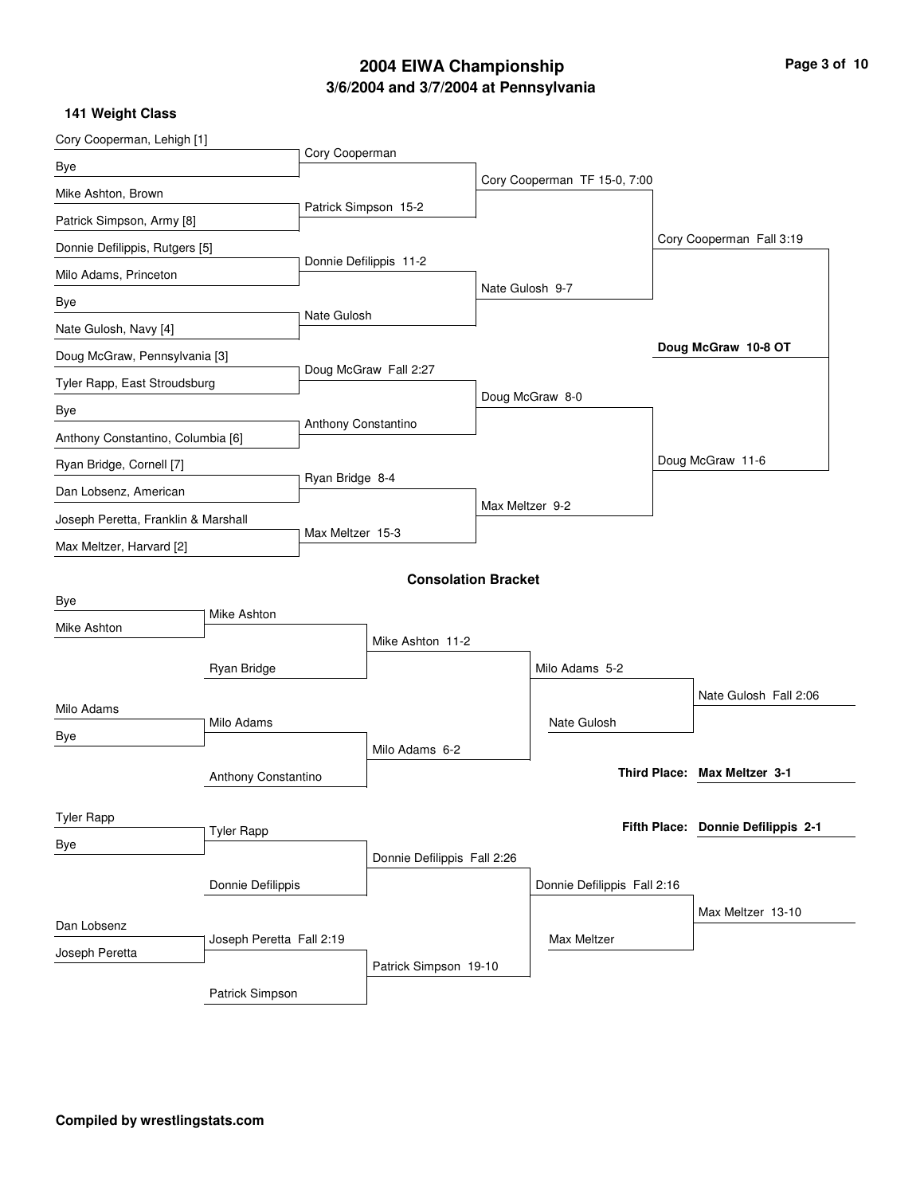# **3/6/2004 and 3/7/2004 at Pennsylvania 2004 EIWA Championship Page 3 of 10**

| Cory Cooperman, Lehigh [1]          |                          |                      |                             |                 |                              |                                    |
|-------------------------------------|--------------------------|----------------------|-----------------------------|-----------------|------------------------------|------------------------------------|
| Bye                                 |                          | Cory Cooperman       |                             |                 |                              |                                    |
| Mike Ashton, Brown                  |                          |                      |                             |                 | Cory Cooperman TF 15-0, 7:00 |                                    |
| Patrick Simpson, Army [8]           |                          | Patrick Simpson 15-2 |                             |                 |                              |                                    |
| Donnie Defilippis, Rutgers [5]      |                          |                      |                             |                 |                              | Cory Cooperman Fall 3:19           |
| Milo Adams, Princeton               |                          |                      | Donnie Defilippis 11-2      |                 |                              |                                    |
| Bye                                 |                          |                      |                             | Nate Gulosh 9-7 |                              |                                    |
| Nate Gulosh, Navy [4]               |                          | Nate Gulosh          |                             |                 |                              |                                    |
| Doug McGraw, Pennsylvania [3]       |                          |                      |                             |                 |                              | Doug McGraw 10-8 OT                |
| Tyler Rapp, East Stroudsburg        |                          |                      | Doug McGraw Fall 2:27       |                 |                              |                                    |
| Bye                                 |                          |                      |                             |                 | Doug McGraw 8-0              |                                    |
| Anthony Constantino, Columbia [6]   |                          | Anthony Constantino  |                             |                 |                              |                                    |
| Ryan Bridge, Cornell [7]            |                          |                      |                             |                 |                              | Doug McGraw 11-6                   |
| Dan Lobsenz, American               |                          | Ryan Bridge 8-4      |                             | Max Meltzer 9-2 |                              |                                    |
| Joseph Peretta, Franklin & Marshall |                          | Max Meltzer 15-3     |                             |                 |                              |                                    |
| Max Meltzer, Harvard [2]            |                          |                      |                             |                 |                              |                                    |
|                                     |                          |                      | <b>Consolation Bracket</b>  |                 |                              |                                    |
| Bye                                 | Mike Ashton              |                      |                             |                 |                              |                                    |
| Mike Ashton                         |                          |                      | Mike Ashton 11-2            |                 |                              |                                    |
|                                     | Ryan Bridge              |                      |                             |                 | Milo Adams 5-2               |                                    |
|                                     |                          |                      |                             |                 |                              | Nate Gulosh Fall 2:06              |
| Milo Adams                          | Milo Adams               |                      |                             |                 | Nate Gulosh                  |                                    |
| Bye                                 |                          |                      | Milo Adams 6-2              |                 |                              |                                    |
|                                     | Anthony Constantino      |                      |                             |                 |                              | Third Place: Max Meltzer 3-1       |
|                                     |                          |                      |                             |                 |                              |                                    |
| <b>Tyler Rapp</b>                   | <b>Tyler Rapp</b>        |                      |                             |                 |                              | Fifth Place: Donnie Defilippis 2-1 |
| Bye                                 |                          |                      | Donnie Defilippis Fall 2:26 |                 |                              |                                    |
|                                     | Donnie Defilippis        |                      |                             |                 | Donnie Defilippis Fall 2:16  |                                    |
|                                     |                          |                      |                             |                 |                              | Max Meltzer 13-10                  |
| Dan Lobsenz                         | Joseph Peretta Fall 2:19 |                      |                             |                 | Max Meltzer                  |                                    |
| Joseph Peretta                      |                          |                      | Patrick Simpson 19-10       |                 |                              |                                    |
|                                     | Patrick Simpson          |                      |                             |                 |                              |                                    |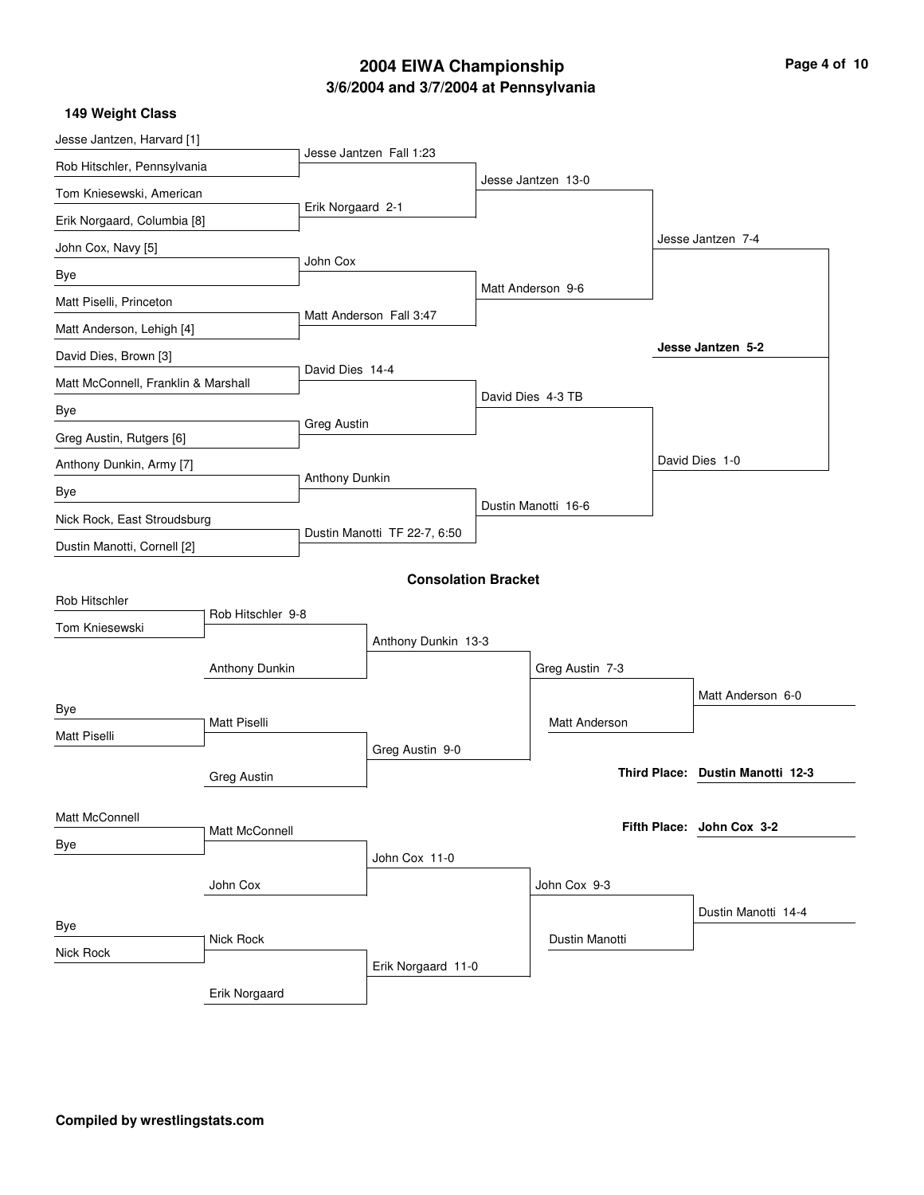## **3/6/2004 and 3/7/2004 at Pennsylvania 2004 EIWA Championship**

| Page 4 of 10 |  |  |
|--------------|--|--|
|              |  |  |

| 149 Weight Class                    |                     |                    |                              |                     |                                  |
|-------------------------------------|---------------------|--------------------|------------------------------|---------------------|----------------------------------|
| Jesse Jantzen, Harvard [1]          |                     |                    | Jesse Jantzen Fall 1:23      |                     |                                  |
| Rob Hitschler, Pennsylvania         |                     |                    |                              | Jesse Jantzen 13-0  |                                  |
| Tom Kniesewski, American            |                     | Erik Norgaard 2-1  |                              |                     |                                  |
| Erik Norgaard, Columbia [8]         |                     |                    |                              |                     |                                  |
| John Cox, Navy [5]                  |                     |                    |                              |                     | Jesse Jantzen 7-4                |
| Bye                                 |                     | John Cox           |                              | Matt Anderson 9-6   |                                  |
| Matt Piselli, Princeton             |                     |                    |                              |                     |                                  |
| Matt Anderson, Lehigh [4]           |                     |                    | Matt Anderson Fall 3:47      |                     |                                  |
| David Dies, Brown [3]               |                     |                    |                              |                     | Jesse Jantzen 5-2                |
| Matt McConnell, Franklin & Marshall |                     | David Dies 14-4    |                              |                     |                                  |
| Bye                                 |                     |                    |                              | David Dies 4-3 TB   |                                  |
| Greg Austin, Rutgers [6]            |                     | <b>Greg Austin</b> |                              |                     |                                  |
| Anthony Dunkin, Army [7]            |                     |                    |                              |                     | David Dies 1-0                   |
| Bye                                 |                     | Anthony Dunkin     |                              |                     |                                  |
| Nick Rock, East Stroudsburg         |                     |                    |                              | Dustin Manotti 16-6 |                                  |
| Dustin Manotti, Cornell [2]         |                     |                    | Dustin Manotti TF 22-7, 6:50 |                     |                                  |
|                                     |                     |                    | <b>Consolation Bracket</b>   |                     |                                  |
| Rob Hitschler                       |                     |                    |                              |                     |                                  |
| Tom Kniesewski                      | Rob Hitschler 9-8   |                    |                              |                     |                                  |
|                                     |                     |                    | Anthony Dunkin 13-3          |                     |                                  |
|                                     | Anthony Dunkin      |                    |                              | Greg Austin 7-3     |                                  |
| Bye                                 |                     |                    |                              | Matt Anderson       | Matt Anderson 6-0                |
| <b>Matt Piselli</b>                 | <b>Matt Piselli</b> |                    |                              |                     |                                  |
|                                     |                     |                    | Greg Austin 9-0              |                     | Third Place: Dustin Manotti 12-3 |
|                                     | <b>Greg Austin</b>  |                    |                              |                     |                                  |
| Matt McConnell                      |                     |                    |                              |                     | Fifth Place: John Cox 3-2        |
| Bye                                 | Matt McConnell      |                    |                              |                     |                                  |
|                                     |                     |                    | John Cox 11-0                |                     |                                  |
|                                     | John Cox            |                    |                              | John Cox 9-3        |                                  |
| Bye                                 |                     |                    |                              |                     | Dustin Manotti 14-4              |
| Nick Rock                           | Nick Rock           |                    |                              | Dustin Manotti      |                                  |
|                                     |                     |                    | Erik Norgaard 11-0           |                     |                                  |
|                                     | Erik Norgaard       |                    |                              |                     |                                  |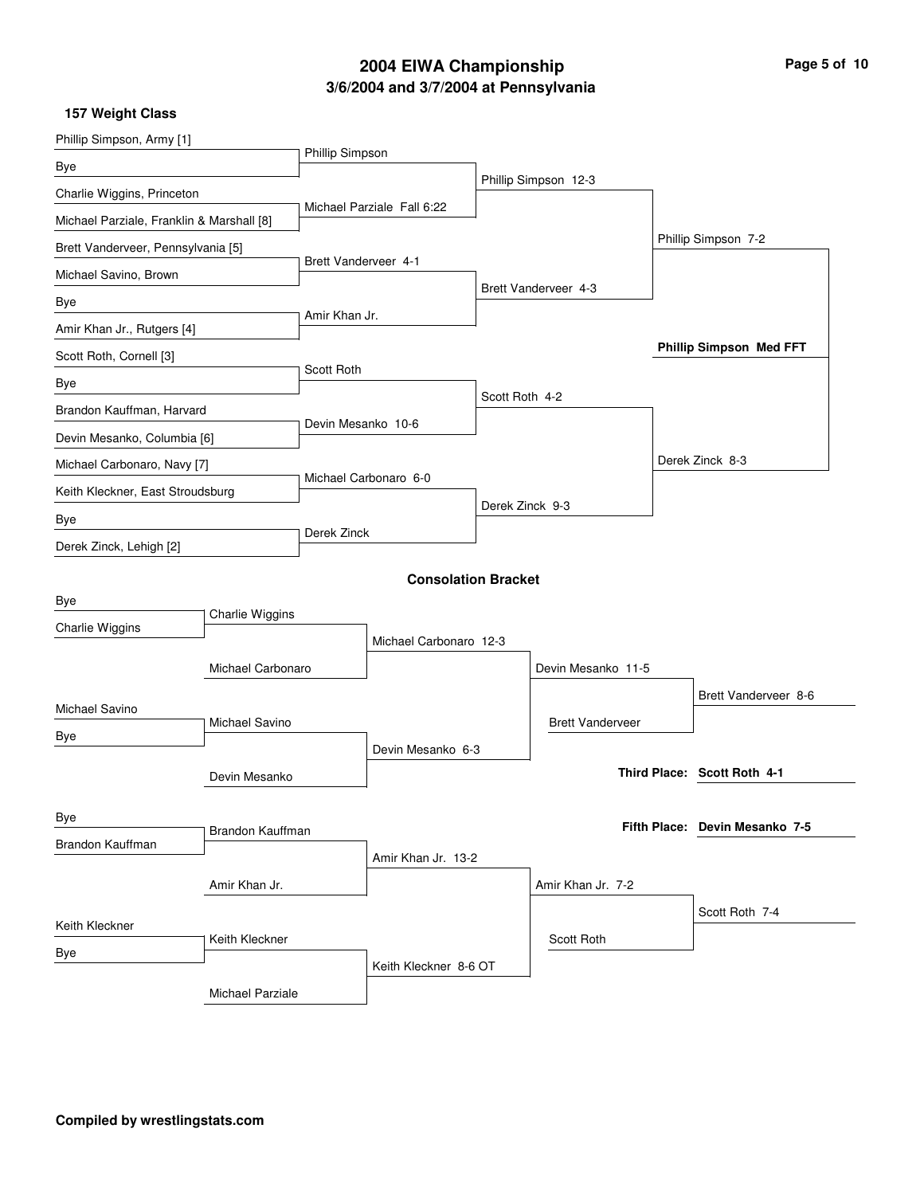# **3/6/2004 and 3/7/2004 at Pennsylvania 2004 EIWA Championship Page 5 of 10**

| Phillip Simpson, Army [1]                 |                   |                             |                            |                 |                         |                                |
|-------------------------------------------|-------------------|-----------------------------|----------------------------|-----------------|-------------------------|--------------------------------|
| Bye                                       |                   | Phillip Simpson             |                            |                 |                         |                                |
| Charlie Wiggins, Princeton                |                   |                             |                            |                 | Phillip Simpson 12-3    |                                |
| Michael Parziale, Franklin & Marshall [8] |                   |                             | Michael Parziale Fall 6:22 |                 |                         |                                |
| Brett Vanderveer, Pennsylvania [5]        |                   |                             |                            |                 |                         | Phillip Simpson 7-2            |
| Michael Savino, Brown                     |                   | <b>Brett Vanderveer 4-1</b> |                            |                 |                         |                                |
| Bye                                       |                   |                             |                            |                 | Brett Vanderveer 4-3    |                                |
| Amir Khan Jr., Rutgers [4]                |                   | Amir Khan Jr.               |                            |                 |                         |                                |
| Scott Roth, Cornell [3]                   |                   |                             |                            |                 |                         | <b>Phillip Simpson Med FFT</b> |
| Bye                                       |                   | Scott Roth                  |                            |                 |                         |                                |
| Brandon Kauffman, Harvard                 |                   |                             |                            | Scott Roth 4-2  |                         |                                |
| Devin Mesanko, Columbia [6]               |                   | Devin Mesanko 10-6          |                            |                 |                         |                                |
| Michael Carbonaro, Navy [7]               |                   |                             |                            |                 |                         | Derek Zinck 8-3                |
| Keith Kleckner, East Stroudsburg          |                   |                             | Michael Carbonaro 6-0      |                 |                         |                                |
| Bye                                       |                   |                             |                            | Derek Zinck 9-3 |                         |                                |
| Derek Zinck, Lehigh [2]                   |                   | Derek Zinck                 |                            |                 |                         |                                |
|                                           |                   |                             | <b>Consolation Bracket</b> |                 |                         |                                |
| Bye                                       |                   |                             |                            |                 |                         |                                |
| Charlie Wiggins                           | Charlie Wiggins   |                             |                            |                 |                         |                                |
|                                           |                   |                             | Michael Carbonaro 12-3     |                 |                         |                                |
|                                           | Michael Carbonaro |                             |                            |                 | Devin Mesanko 11-5      |                                |
| Michael Savino                            |                   |                             |                            |                 |                         | Brett Vanderveer 8-6           |
| Bye                                       | Michael Savino    |                             |                            |                 | <b>Brett Vanderveer</b> |                                |
|                                           |                   |                             | Devin Mesanko 6-3          |                 |                         | Third Place: Scott Roth 4-1    |
|                                           | Devin Mesanko     |                             |                            |                 |                         |                                |
| Bye                                       |                   |                             |                            |                 |                         | Fifth Place: Devin Mesanko 7-5 |
| Brandon Kauffman                          | Brandon Kauffman  |                             |                            |                 |                         |                                |
|                                           |                   |                             | Amir Khan Jr. 13-2         |                 |                         |                                |
|                                           | Amir Khan Jr.     |                             |                            |                 | Amir Khan Jr. 7-2       |                                |
| Keith Kleckner                            |                   |                             |                            |                 |                         | Scott Roth 7-4                 |
| Bye                                       | Keith Kleckner    |                             |                            |                 | Scott Roth              |                                |
|                                           |                   |                             | Keith Kleckner 8-6 OT      |                 |                         |                                |
|                                           | Michael Parziale  |                             |                            |                 |                         |                                |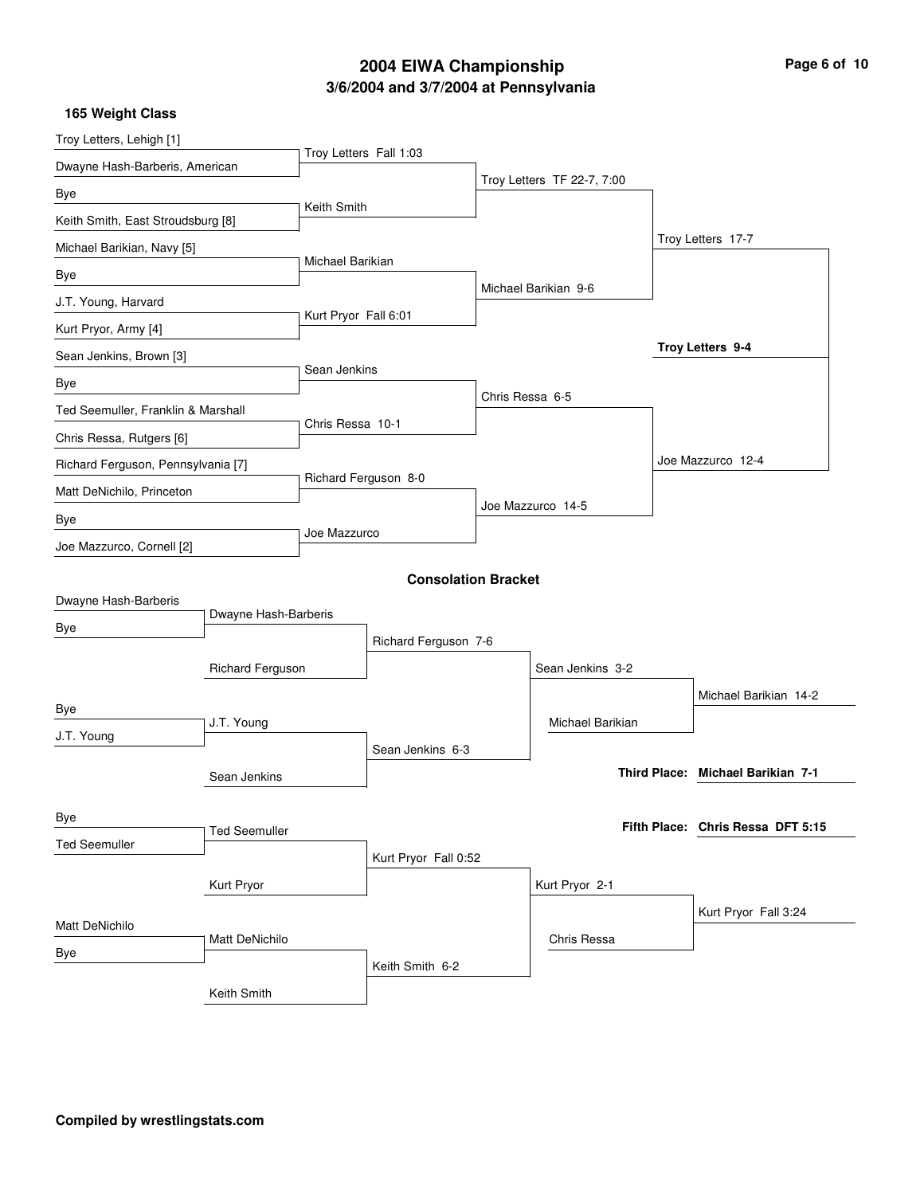## **3/6/2004 and 3/7/2004 at Pennsylvania 2004 EIWA Championship**

| Page 6 of 10 |  |  |  |
|--------------|--|--|--|
|--------------|--|--|--|

| Troy Letters, Lehigh [1]           |                      |                        |                            |                 |                            |                                   |
|------------------------------------|----------------------|------------------------|----------------------------|-----------------|----------------------------|-----------------------------------|
| Dwayne Hash-Barberis, American     |                      | Troy Letters Fall 1:03 |                            |                 |                            |                                   |
| Bye                                |                      |                        |                            |                 | Troy Letters TF 22-7, 7:00 |                                   |
| Keith Smith, East Stroudsburg [8]  |                      | Keith Smith            |                            |                 |                            |                                   |
| Michael Barikian, Navy [5]         |                      |                        |                            |                 |                            | Troy Letters 17-7                 |
| Bye                                |                      | Michael Barikian       |                            |                 |                            |                                   |
| J.T. Young, Harvard                |                      |                        |                            |                 | Michael Barikian 9-6       |                                   |
| Kurt Pryor, Army [4]               |                      | Kurt Pryor Fall 6:01   |                            |                 |                            |                                   |
| Sean Jenkins, Brown [3]            |                      |                        |                            |                 |                            | Troy Letters 9-4                  |
| Bye                                |                      | Sean Jenkins           |                            |                 |                            |                                   |
| Ted Seemuller, Franklin & Marshall |                      |                        |                            | Chris Ressa 6-5 |                            |                                   |
| Chris Ressa, Rutgers [6]           |                      | Chris Ressa 10-1       |                            |                 |                            |                                   |
| Richard Ferguson, Pennsylvania [7] |                      |                        |                            |                 |                            | Joe Mazzurco 12-4                 |
| Matt DeNichilo, Princeton          |                      |                        | Richard Ferguson 8-0       |                 |                            |                                   |
| Bye                                |                      |                        |                            |                 | Joe Mazzurco 14-5          |                                   |
| Joe Mazzurco, Cornell [2]          |                      | Joe Mazzurco           |                            |                 |                            |                                   |
|                                    |                      |                        |                            |                 |                            |                                   |
| Dwayne Hash-Barberis               |                      |                        | <b>Consolation Bracket</b> |                 |                            |                                   |
| Bye                                | Dwayne Hash-Barberis |                        |                            |                 |                            |                                   |
|                                    |                      |                        | Richard Ferguson 7-6       |                 |                            |                                   |
|                                    | Richard Ferguson     |                        |                            |                 | Sean Jenkins 3-2           |                                   |
| Bye                                |                      |                        |                            |                 |                            | Michael Barikian 14-2             |
| J.T. Young                         | J.T. Young           |                        |                            |                 | Michael Barikian           |                                   |
|                                    |                      |                        | Sean Jenkins 6-3           |                 |                            |                                   |
|                                    | Sean Jenkins         |                        |                            |                 |                            | Third Place: Michael Barikian 7-1 |
|                                    |                      |                        |                            |                 |                            |                                   |
| Bye                                | <b>Ted Seemuller</b> |                        |                            |                 |                            | Fifth Place: Chris Ressa DFT 5:15 |
| <b>Ted Seemuller</b>               |                      |                        | Kurt Pryor Fall 0:52       |                 |                            |                                   |
|                                    | Kurt Pryor           |                        |                            |                 | Kurt Pryor 2-1             |                                   |
|                                    |                      |                        |                            |                 |                            | Kurt Pryor Fall 3:24              |
| Matt DeNichilo                     | Matt DeNichilo       |                        |                            |                 | Chris Ressa                |                                   |
| Bye                                |                      |                        | Keith Smith 6-2            |                 |                            |                                   |
|                                    | Keith Smith          |                        |                            |                 |                            |                                   |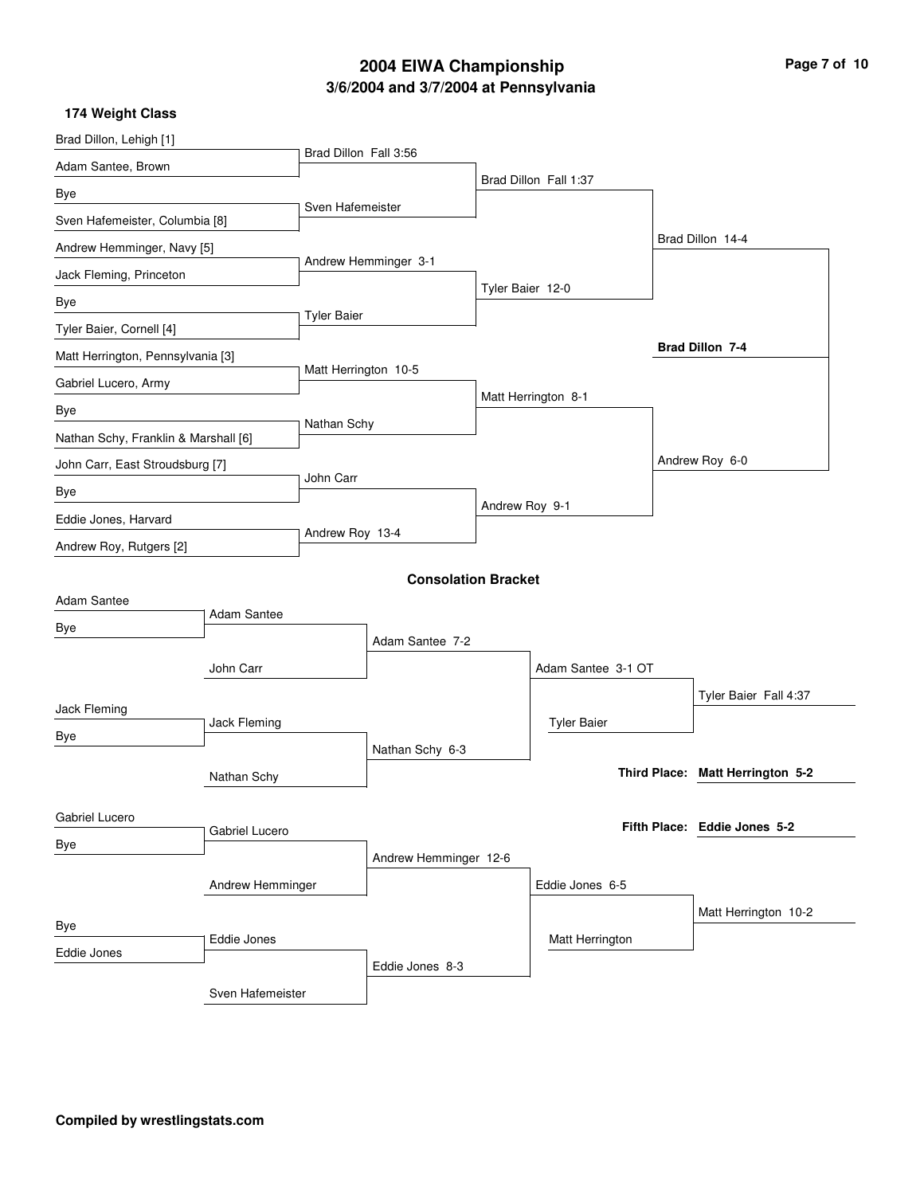## **3/6/2004 and 3/7/2004 at Pennsylvania 2004 EIWA Championship**

| Page 7 of 10 |  |
|--------------|--|
|--------------|--|

| Brad Dillon, Lehigh [1]              |                    |                       |                            |                     |                       |                                  |
|--------------------------------------|--------------------|-----------------------|----------------------------|---------------------|-----------------------|----------------------------------|
| Adam Santee, Brown                   |                    | Brad Dillon Fall 3:56 |                            |                     |                       |                                  |
| Bye                                  |                    |                       |                            |                     | Brad Dillon Fall 1:37 |                                  |
| Sven Hafemeister, Columbia [8]       |                    | Sven Hafemeister      |                            |                     |                       |                                  |
| Andrew Hemminger, Navy [5]           |                    |                       |                            |                     |                       | Brad Dillon 14-4                 |
| Jack Fleming, Princeton              |                    | Andrew Hemminger 3-1  |                            |                     |                       |                                  |
| Bye                                  |                    |                       |                            | Tyler Baier 12-0    |                       |                                  |
| Tyler Baier, Cornell [4]             |                    | <b>Tyler Baier</b>    |                            |                     |                       |                                  |
| Matt Herrington, Pennsylvania [3]    |                    |                       |                            |                     |                       | Brad Dillon 7-4                  |
| Gabriel Lucero, Army                 |                    | Matt Herrington 10-5  |                            |                     |                       |                                  |
| Bye                                  |                    |                       |                            | Matt Herrington 8-1 |                       |                                  |
| Nathan Schy, Franklin & Marshall [6] |                    | Nathan Schy           |                            |                     |                       |                                  |
| John Carr, East Stroudsburg [7]      |                    |                       |                            |                     |                       | Andrew Roy 6-0                   |
| Bye                                  |                    | John Carr             |                            |                     |                       |                                  |
| Eddie Jones, Harvard                 |                    |                       |                            | Andrew Roy 9-1      |                       |                                  |
| Andrew Roy, Rutgers [2]              |                    | Andrew Roy 13-4       |                            |                     |                       |                                  |
|                                      |                    |                       | <b>Consolation Bracket</b> |                     |                       |                                  |
| Adam Santee                          |                    |                       |                            |                     |                       |                                  |
| Bye                                  | <b>Adam Santee</b> |                       |                            |                     |                       |                                  |
|                                      |                    |                       | Adam Santee 7-2            |                     |                       |                                  |
|                                      | John Carr          |                       |                            |                     | Adam Santee 3-1 OT    |                                  |
| Jack Fleming                         |                    |                       |                            |                     |                       | Tyler Baier Fall 4:37            |
| Jack Fleming                         |                    |                       |                            |                     | <b>Tyler Baier</b>    |                                  |
| Bye<br>Nathan Schy                   |                    |                       | Nathan Schy 6-3            |                     |                       |                                  |
|                                      |                    |                       |                            |                     |                       | Third Place: Matt Herrington 5-2 |
|                                      |                    |                       |                            |                     |                       |                                  |
| Gabriel Lucero                       | Gabriel Lucero     |                       |                            |                     |                       | Fifth Place: Eddie Jones 5-2     |
| Bye                                  |                    |                       | Andrew Hemminger 12-6      |                     |                       |                                  |
| Andrew Hemminger                     |                    |                       |                            | Eddie Jones 6-5     |                       |                                  |
|                                      |                    |                       |                            |                     |                       | Matt Herrington 10-2             |
| Bye<br>Eddie Jones                   |                    |                       |                            |                     | Matt Herrington       |                                  |
| Eddie Jones                          |                    |                       | Eddie Jones 8-3            |                     |                       |                                  |
|                                      | Sven Hafemeister   |                       |                            |                     |                       |                                  |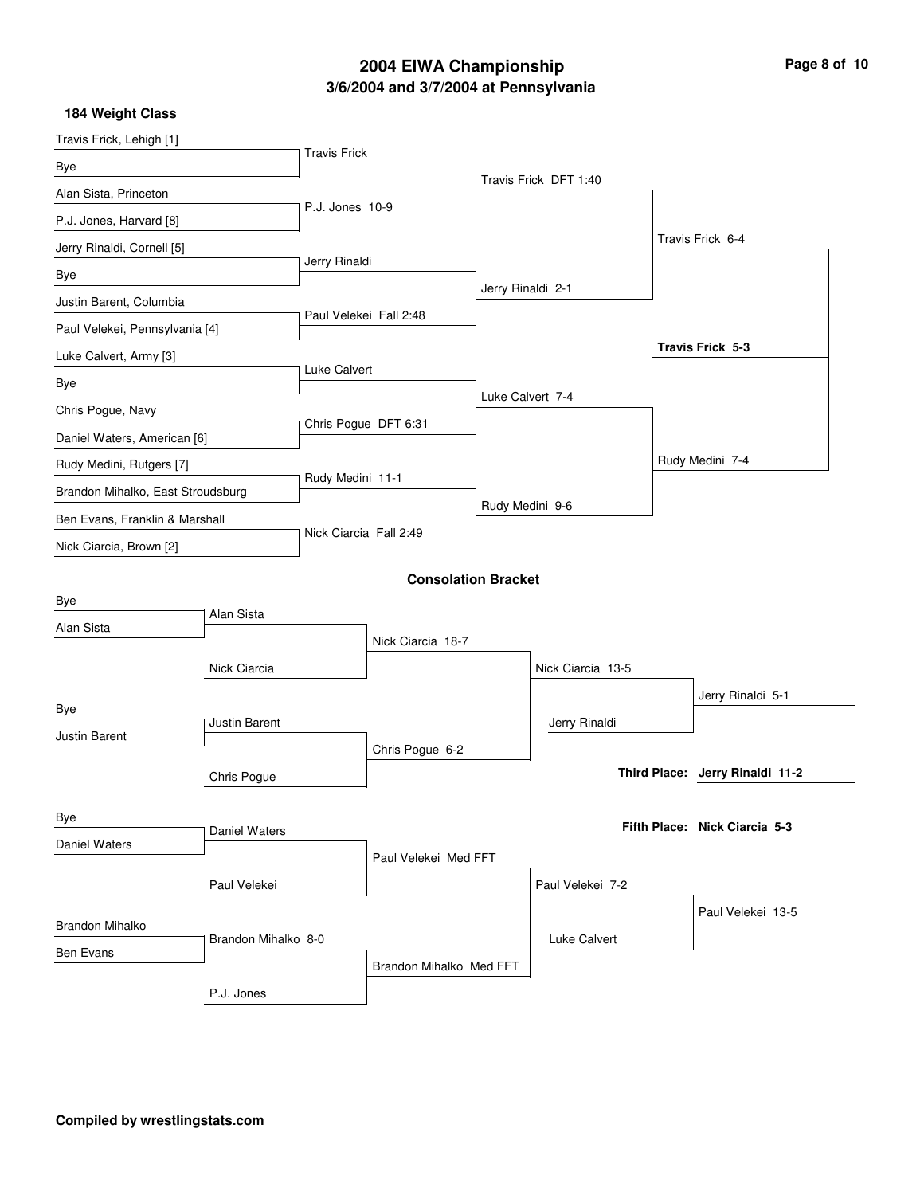## **3/6/2004 and 3/7/2004 at Pennsylvania 2004 EIWA Championship Page 8 of 10**

| Travis Frick, Lehigh [1]                      |               |                     |                         |                            |                       |                                 |
|-----------------------------------------------|---------------|---------------------|-------------------------|----------------------------|-----------------------|---------------------------------|
| Bye                                           |               | <b>Travis Frick</b> |                         |                            |                       |                                 |
| Alan Sista, Princeton                         |               |                     |                         |                            | Travis Frick DFT 1:40 |                                 |
| P.J. Jones, Harvard [8]                       |               | P.J. Jones 10-9     |                         |                            |                       |                                 |
| Jerry Rinaldi, Cornell [5]                    |               |                     |                         |                            |                       | Travis Frick 6-4                |
| Bye                                           |               | Jerry Rinaldi       |                         |                            |                       |                                 |
| Justin Barent, Columbia                       |               |                     |                         | Jerry Rinaldi 2-1          |                       |                                 |
| Paul Velekei, Pennsylvania [4]                |               |                     | Paul Velekei Fall 2:48  |                            |                       |                                 |
| Luke Calvert, Army [3]                        |               |                     |                         |                            |                       | Travis Frick 5-3                |
| Bye                                           |               | Luke Calvert        |                         |                            |                       |                                 |
| Chris Pogue, Navy                             |               |                     |                         |                            | Luke Calvert 7-4      |                                 |
| Daniel Waters, American [6]                   |               |                     | Chris Pogue DFT 6:31    |                            |                       |                                 |
| Rudy Medini, Rutgers [7]                      |               |                     |                         |                            |                       | Rudy Medini 7-4                 |
| Brandon Mihalko, East Stroudsburg             |               | Rudy Medini 11-1    |                         |                            |                       |                                 |
| Ben Evans, Franklin & Marshall                |               |                     |                         |                            | Rudy Medini 9-6       |                                 |
| Nick Ciarcia, Brown [2]                       |               |                     | Nick Ciarcia Fall 2:49  |                            |                       |                                 |
|                                               |               |                     |                         | <b>Consolation Bracket</b> |                       |                                 |
| Bye                                           |               |                     |                         |                            |                       |                                 |
| Alan Sista                                    | Alan Sista    |                     |                         |                            |                       |                                 |
|                                               |               |                     | Nick Ciarcia 18-7       |                            |                       |                                 |
|                                               | Nick Ciarcia  |                     |                         |                            | Nick Ciarcia 13-5     |                                 |
| Bye                                           |               |                     |                         |                            |                       | Jerry Rinaldi 5-1               |
| Justin Barent<br><b>Justin Barent</b>         |               |                     |                         |                            | Jerry Rinaldi         |                                 |
|                                               |               |                     | Chris Pogue 6-2         |                            |                       |                                 |
|                                               | Chris Pogue   |                     |                         |                            |                       | Third Place: Jerry Rinaldi 11-2 |
| Bye                                           |               |                     |                         |                            |                       |                                 |
| Daniel Waters                                 | Daniel Waters |                     |                         |                            |                       | Fifth Place: Nick Ciarcia 5-3   |
|                                               |               |                     | Paul Velekei Med FFT    |                            |                       |                                 |
|                                               | Paul Velekei  |                     |                         |                            | Paul Velekei 7-2      |                                 |
|                                               |               |                     |                         |                            |                       | Paul Velekei 13-5               |
| <b>Brandon Mihalko</b><br>Brandon Mihalko 8-0 |               |                     |                         |                            | Luke Calvert          |                                 |
| Ben Evans                                     |               |                     | Brandon Mihalko Med FFT |                            |                       |                                 |
|                                               | P.J. Jones    |                     |                         |                            |                       |                                 |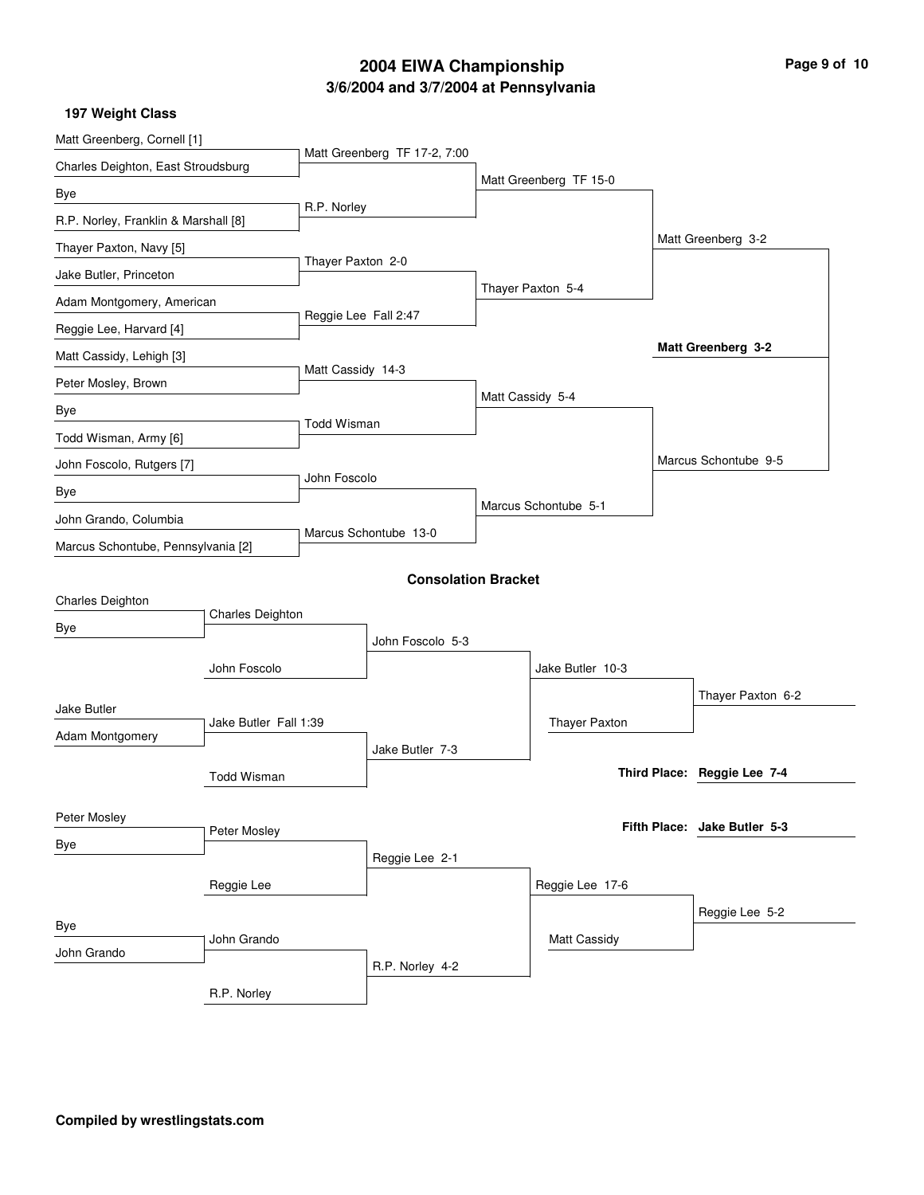# **3/6/2004 and 3/7/2004 at Pennsylvania 2004 EIWA Championship Page 9 of 10**

| Matt Greenberg, Cornell [1]              |                    |                       |                              |                        |  |                              |
|------------------------------------------|--------------------|-----------------------|------------------------------|------------------------|--|------------------------------|
| Charles Deighton, East Stroudsburg       |                    |                       | Matt Greenberg TF 17-2, 7:00 |                        |  |                              |
| Bye                                      |                    |                       |                              | Matt Greenberg TF 15-0 |  |                              |
| R.P. Norley, Franklin & Marshall [8]     |                    | R.P. Norley           |                              |                        |  |                              |
| Thayer Paxton, Navy [5]                  |                    |                       |                              |                        |  | Matt Greenberg 3-2           |
| Jake Butler, Princeton                   |                    | Thayer Paxton 2-0     |                              |                        |  |                              |
| Adam Montgomery, American                |                    |                       |                              | Thayer Paxton 5-4      |  |                              |
| Reggie Lee, Harvard [4]                  |                    | Reggie Lee Fall 2:47  |                              |                        |  |                              |
| Matt Cassidy, Lehigh [3]                 |                    |                       |                              |                        |  | Matt Greenberg 3-2           |
| Peter Mosley, Brown                      |                    | Matt Cassidy 14-3     |                              |                        |  |                              |
| Bye                                      |                    |                       |                              | Matt Cassidy 5-4       |  |                              |
| Todd Wisman, Army [6]                    |                    | <b>Todd Wisman</b>    |                              |                        |  |                              |
| John Foscolo, Rutgers [7]                |                    |                       |                              |                        |  | Marcus Schontube 9-5         |
| Bye                                      | John Foscolo       |                       |                              |                        |  |                              |
| John Grando, Columbia                    |                    | Marcus Schontube 13-0 |                              | Marcus Schontube 5-1   |  |                              |
| Marcus Schontube, Pennsylvania [2]       |                    |                       |                              |                        |  |                              |
|                                          |                    |                       | <b>Consolation Bracket</b>   |                        |  |                              |
| Charles Deighton                         |                    |                       |                              |                        |  |                              |
| Bye                                      | Charles Deighton   |                       |                              |                        |  |                              |
|                                          |                    |                       | John Foscolo 5-3             |                        |  |                              |
|                                          | John Foscolo       |                       |                              | Jake Butler 10-3       |  |                              |
| Jake Butler                              |                    |                       |                              |                        |  | Thayer Paxton 6-2            |
| Jake Butler Fall 1:39<br>Adam Montgomery |                    |                       |                              | Thayer Paxton          |  |                              |
|                                          |                    |                       | Jake Butler 7-3              |                        |  |                              |
|                                          | <b>Todd Wisman</b> |                       |                              |                        |  | Third Place: Reggie Lee 7-4  |
| Peter Mosley                             |                    |                       |                              |                        |  |                              |
| Bye                                      | Peter Mosley       |                       |                              |                        |  | Fifth Place: Jake Butler 5-3 |
|                                          |                    |                       | Reggie Lee 2-1               |                        |  |                              |
|                                          | Reggie Lee         |                       |                              | Reggie Lee 17-6        |  |                              |
| Bye                                      |                    |                       |                              |                        |  | Reggie Lee 5-2               |
| John Grando<br>John Grando               |                    |                       |                              | <b>Matt Cassidy</b>    |  |                              |
|                                          |                    |                       | R.P. Norley 4-2              |                        |  |                              |
|                                          | R.P. Norley        |                       |                              |                        |  |                              |